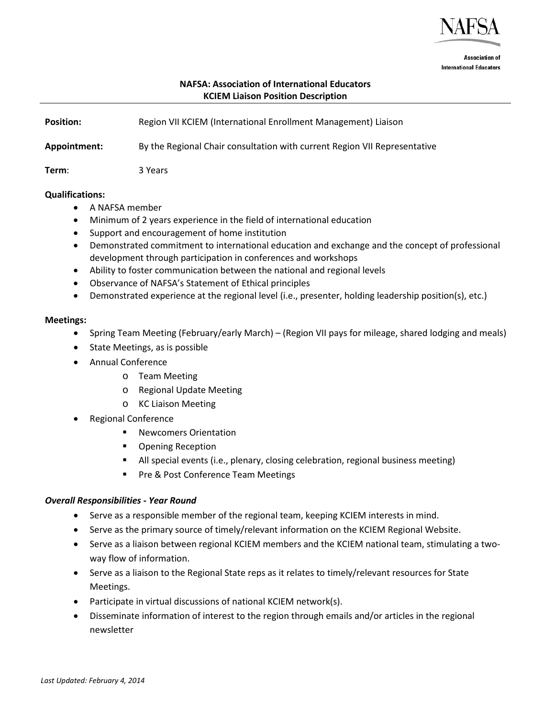

**Association of International Educators** 

# **NAFSA: Association of International Educators KCIEM Liaison Position Description**

**Position: Region VII KCIEM (International Enrollment Management) Liaison Appointment:** By the Regional Chair consultation with current Region VII Representative **Term**: 3 Years

#### **Qualifications:**

- A NAFSA member
- Minimum of 2 years experience in the field of international education
- Support and encouragement of home institution
- Demonstrated commitment to international education and exchange and the concept of professional development through participation in conferences and workshops
- Ability to foster communication between the national and regional levels
- Observance of NAFSA's Statement of Ethical principles
- Demonstrated experience at the regional level (i.e., presenter, holding leadership position(s), etc.)

#### **Meetings:**

- Spring Team Meeting (February/early March) (Region VII pays for mileage, shared lodging and meals)
- State Meetings, as is possible
- Annual Conference
	- o Team Meeting
	- o Regional Update Meeting
	- o KC Liaison Meeting
- Regional Conference
	- Newcomers Orientation
	- **•** Opening Reception
	- All special events (i.e., plenary, closing celebration, regional business meeting)
	- Pre & Post Conference Team Meetings

## *Overall Responsibilities - Year Round*

- Serve as a responsible member of the regional team, keeping KCIEM interests in mind.
- Serve as the primary source of timely/relevant information on the KCIEM Regional Website.
- Serve as a liaison between regional KCIEM members and the KCIEM national team, stimulating a twoway flow of information.
- Serve as a liaison to the Regional State reps as it relates to timely/relevant resources for State Meetings.
- Participate in virtual discussions of national KCIEM network(s).
- Disseminate information of interest to the region through emails and/or articles in the regional newsletter